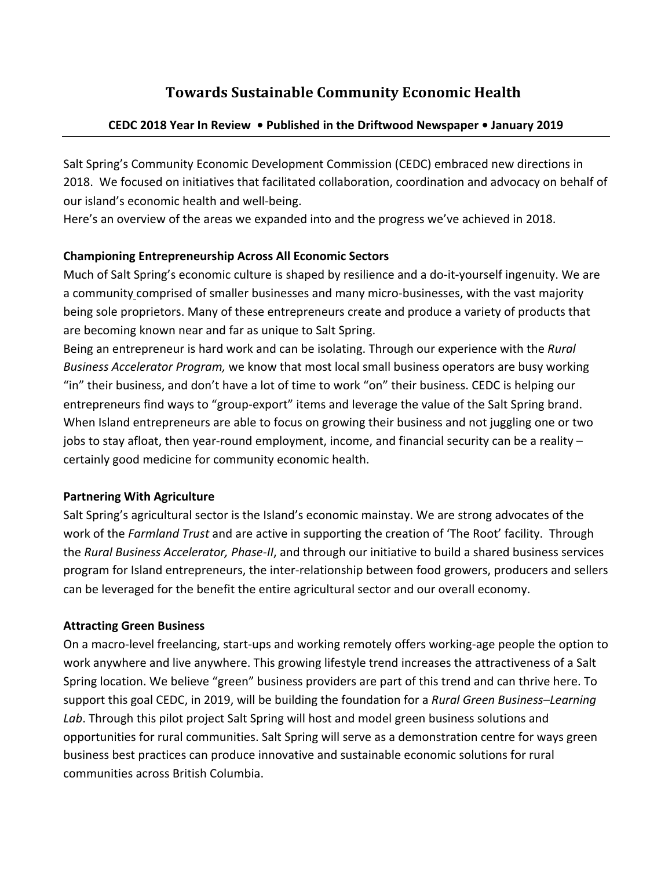# **Towards Sustainable Community Economic Health**

### **CEDC 2018 Year In Review • Published in the Driftwood Newspaper • January 2019**

Salt Spring's Community Economic Development Commission (CEDC) embraced new directions in 2018. We focused on initiatives that facilitated collaboration, coordination and advocacy on behalf of our island's economic health and well-being.

Here's an overview of the areas we expanded into and the progress we've achieved in 2018.

## **Championing Entrepreneurship Across All Economic Sectors**

Much of Salt Spring's economic culture is shaped by resilience and a do-it-yourself ingenuity. We are a community comprised of smaller businesses and many micro-businesses, with the vast majority being sole proprietors. Many of these entrepreneurs create and produce a variety of products that are becoming known near and far as unique to Salt Spring.

Being an entrepreneur is hard work and can be isolating. Through our experience with the *Rural Business Accelerator Program,* we know that most local small business operators are busy working "in" their business, and don't have a lot of time to work "on" their business. CEDC is helping our entrepreneurs find ways to "group-export" items and leverage the value of the Salt Spring brand. When Island entrepreneurs are able to focus on growing their business and not juggling one or two jobs to stay afloat, then year-round employment, income, and financial security can be a reality  $$ certainly good medicine for community economic health.

### **Partnering With Agriculture**

Salt Spring's agricultural sector is the Island's economic mainstay. We are strong advocates of the work of the *Farmland Trust* and are active in supporting the creation of 'The Root' facility. Through the *Rural Business Accelerator, Phase-II*, and through our initiative to build a shared business services program for Island entrepreneurs, the inter-relationship between food growers, producers and sellers can be leveraged for the benefit the entire agricultural sector and our overall economy.

### **Attracting Green Business**

On a macro-level freelancing, start-ups and working remotely offers working-age people the option to work anywhere and live anywhere. This growing lifestyle trend increases the attractiveness of a Salt Spring location. We believe "green" business providers are part of this trend and can thrive here. To support this goal CEDC, in 2019, will be building the foundation for a Rural Green Business-Learning Lab. Through this pilot project Salt Spring will host and model green business solutions and opportunities for rural communities. Salt Spring will serve as a demonstration centre for ways green business best practices can produce innovative and sustainable economic solutions for rural communities across British Columbia.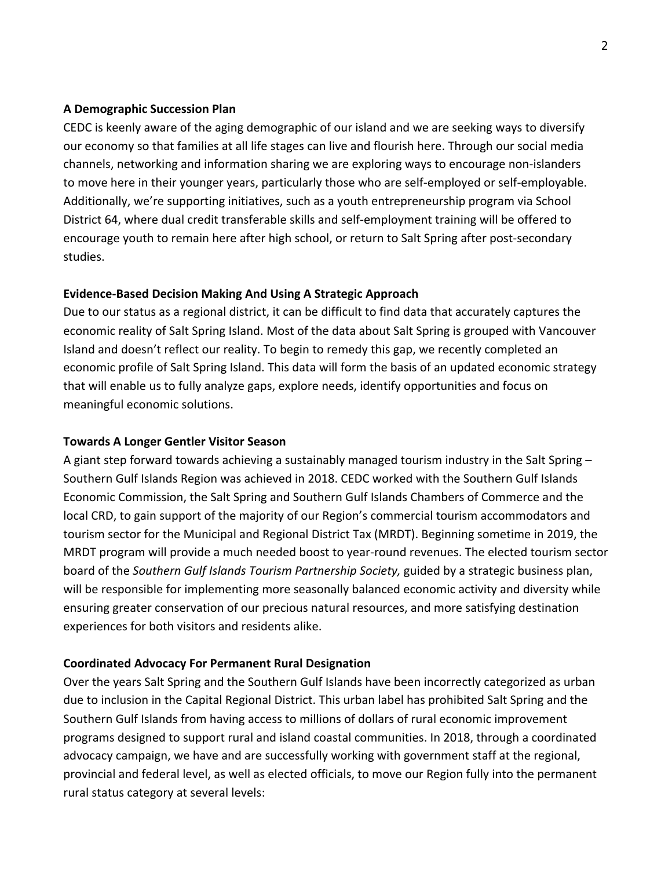#### **A Demographic Succession Plan**

CEDC is keenly aware of the aging demographic of our island and we are seeking ways to diversify our economy so that families at all life stages can live and flourish here. Through our social media channels, networking and information sharing we are exploring ways to encourage non-islanders to move here in their younger years, particularly those who are self-employed or self-employable. Additionally, we're supporting initiatives, such as a youth entrepreneurship program via School District 64, where dual credit transferable skills and self-employment training will be offered to encourage youth to remain here after high school, or return to Salt Spring after post-secondary studies. 

#### **Evidence-Based Decision Making And Using A Strategic Approach**

Due to our status as a regional district, it can be difficult to find data that accurately captures the economic reality of Salt Spring Island. Most of the data about Salt Spring is grouped with Vancouver Island and doesn't reflect our reality. To begin to remedy this gap, we recently completed an economic profile of Salt Spring Island. This data will form the basis of an updated economic strategy that will enable us to fully analyze gaps, explore needs, identify opportunities and focus on meaningful economic solutions.

#### **Towards A Longer Gentler Visitor Season**

A giant step forward towards achieving a sustainably managed tourism industry in the Salt Spring  $-$ Southern Gulf Islands Region was achieved in 2018. CEDC worked with the Southern Gulf Islands Economic Commission, the Salt Spring and Southern Gulf Islands Chambers of Commerce and the local CRD, to gain support of the majority of our Region's commercial tourism accommodators and tourism sector for the Municipal and Regional District Tax (MRDT). Beginning sometime in 2019, the MRDT program will provide a much needed boost to year-round revenues. The elected tourism sector board of the *Southern Gulf Islands Tourism Partnership Society,* guided by a strategic business plan, will be responsible for implementing more seasonally balanced economic activity and diversity while ensuring greater conservation of our precious natural resources, and more satisfying destination experiences for both visitors and residents alike.

#### **Coordinated Advocacy For Permanent Rural Designation**

Over the years Salt Spring and the Southern Gulf Islands have been incorrectly categorized as urban due to inclusion in the Capital Regional District. This urban label has prohibited Salt Spring and the Southern Gulf Islands from having access to millions of dollars of rural economic improvement programs designed to support rural and island coastal communities. In 2018, through a coordinated advocacy campaign, we have and are successfully working with government staff at the regional, provincial and federal level, as well as elected officials, to move our Region fully into the permanent rural status category at several levels: